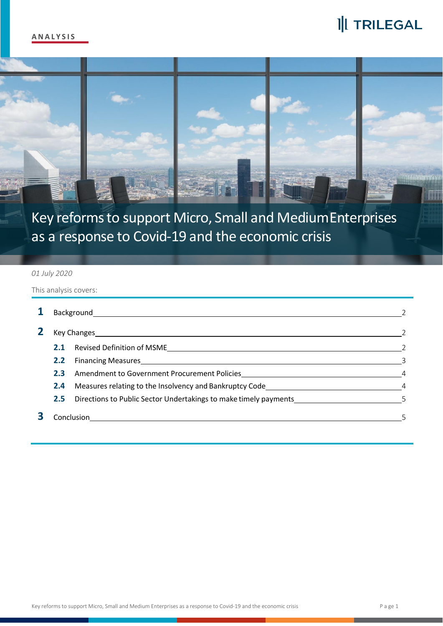# I|I TRILEGAL



Key reforms to support Micro, Small and MediumEnterprises as a response to Covid-19 and the economic crisis

#### *01 July 2020*

This analysis covers:

|   | Background    |                                                                                                                                                                                                                                      |   |  |  |
|---|---------------|--------------------------------------------------------------------------------------------------------------------------------------------------------------------------------------------------------------------------------------|---|--|--|
| 2 |               | Key Changes <b>Exercise Service Contract Contract Contract Contract Contract Contract Contract Contract Contract Contract Contract Contract Contract Contract Contract Contract Contract Contract Contract Contract Contract Con</b> |   |  |  |
|   | 2.1           |                                                                                                                                                                                                                                      |   |  |  |
|   | 2.2           | Financing Measures https://www.assett.com/community/community/community/community/community/community/community/                                                                                                                     |   |  |  |
|   | 2.3           |                                                                                                                                                                                                                                      | 4 |  |  |
|   | $2.4^{\circ}$ | Measures relating to the Insolvency and Bankruptcy Code Newslett Controller and Measures relating to the Insolvency                                                                                                                  |   |  |  |
|   | $2.5^{\circ}$ | Directions to Public Sector Undertakings to make timely payments                                                                                                                                                                     |   |  |  |
|   | Conclusion    |                                                                                                                                                                                                                                      |   |  |  |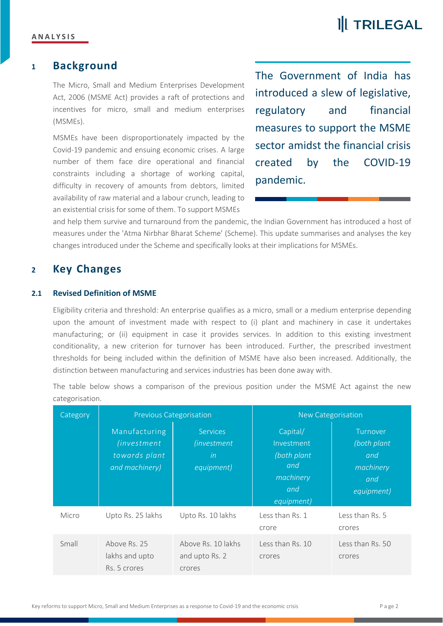## **II** TRILEGAL

## **<sup>1</sup> Background**

The Micro, Small and Medium Enterprises Development Act, 2006 (MSME Act) provides a raft of protections and incentives for micro, small and medium enterprises (MSMEs).

MSMEs have been disproportionately impacted by the Covid-19 pandemic and ensuing economic crises. A large number of them face dire operational and financial created constraints including a shortage of working capital, difficulty in recovery of amounts from debtors, limited availability of raw material and a labour crunch, leading to an existential crisis for some of them. To support MSMEs

The Government of India has introduced a slew of legislative, regulatory and financial measures to support the MSME sector amidst the financial crisis by the COVID-19 pandemic.

and help them survive and turnaround from the pandemic, the Indian Government has introduced a host of measures under the 'Atma Nirbhar Bharat Scheme' (Scheme). This update summarises and analyses the key changes introduced under the Scheme and specifically looks at their implications for MSMEs.

### **<sup>2</sup> Key Changes**

#### **2.1 Revised Definition of MSME**

Eligibility criteria and threshold: An enterprise qualifies as a micro, small or a medium enterprise depending upon the amount of investment made with respect to (i) plant and machinery in case it undertakes manufacturing; or (ii) equipment in case it provides services. In addition to this existing investment conditionality, a new criterion for turnover has been introduced. Further, the prescribed investment thresholds for being included within the definition of MSME have also been increased. Additionally, the distinction between manufacturing and services industries has been done away with.

The table below shows a comparison of the previous position under the MSME Act against the new categorisation.

| Category | <b>Previous Categorisation</b>                                           |                                                             | New Categorisation                                                             |                                                                  |
|----------|--------------------------------------------------------------------------|-------------------------------------------------------------|--------------------------------------------------------------------------------|------------------------------------------------------------------|
|          | Manufacturing<br><i>(investment</i> )<br>towards plant<br>and machinery) | <b>Services</b><br><i>(investment</i> )<br>in<br>equipment) | Capital/<br>Investment<br>(both plant<br>and<br>machinery<br>and<br>equipment) | Turnover<br>(both plant<br>and<br>machinery<br>and<br>equipment) |
| Micro    | Upto Rs. 25 lakhs                                                        | Upto Rs. 10 lakhs                                           | Less than Rs. 1<br>crore                                                       | Less than Rs. 5<br>crores                                        |
| Small    | Above Rs. 25<br>lakhs and upto<br>Rs. 5 crores                           | Above Rs. 10 lakhs<br>and upto Rs. 2<br>crores              | Less than Rs. 10<br>crores                                                     | Less than Rs. 50<br>crores                                       |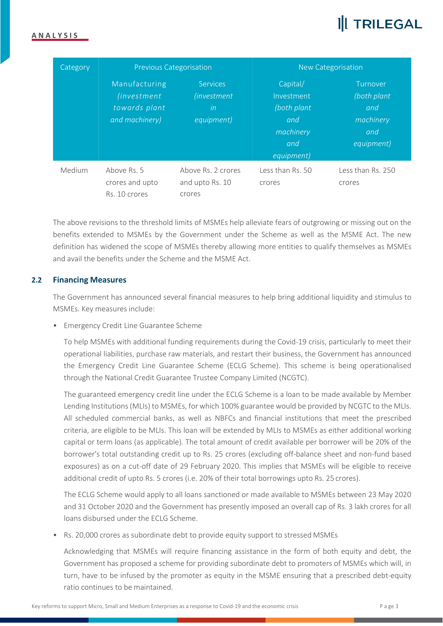# **III TRILEGAL**

#### **A N A L Y S I S**

| Category | <b>Previous Categorisation</b>                                           |                                                             | <b>New Categorisation</b>                                                       |                                                                  |
|----------|--------------------------------------------------------------------------|-------------------------------------------------------------|---------------------------------------------------------------------------------|------------------------------------------------------------------|
|          | Manufacturing<br><i>(investment</i> )<br>towards plant<br>and machinery) | <b>Services</b><br><i>(investment</i> )<br>in<br>equipment) | Capital/<br>Investment<br>(both plant)<br>and<br>machinery<br>and<br>equipment) | Turnover<br>(both plant<br>and<br>machinery<br>and<br>equipment) |
| Medium   | Above Rs. 5<br>crores and upto<br>Rs. 10 crores                          | Above Rs. 2 crores<br>and upto Rs. 10<br>crores             | Less than Rs. 50<br>crores                                                      | Less than Rs. 250<br>crores                                      |

The above revisions to the threshold limits of MSMEs help alleviate fears of outgrowing or missing out on the benefits extended to MSMEs by the Government under the Scheme as well as the MSME Act. The new definition has widened the scope of MSMEs thereby allowing more entities to qualify themselves as MSMEs and avail the benefits under the Scheme and the MSME Act.

#### **2.2 Financing Measures**

The Government has announced several financial measures to help bring additional liquidity and stimulus to MSMEs. Key measures include:

• Emergency Credit Line Guarantee Scheme

To help MSMEs with additional funding requirements during the Covid-19 crisis, particularly to meet their operational liabilities, purchase raw materials, and restart their business, the Government has announced the Emergency Credit Line Guarantee Scheme (ECLG Scheme). This scheme is being operationalised through the National Credit Guarantee Trustee Company Limited (NCGTC).

The guaranteed emergency credit line under the ECLG Scheme is a loan to be made available by Member Lending Institutions(MLIs) to MSMEs, for which 100% guarantee would be provided by NCGTC to the MLIs. All scheduled commercial banks, as well as NBFCs and financial institutions that meet the prescribed criteria, are eligible to be MLIs.This loan will be extended by MLIs to MSMEs as either additional working capital or term loans (as applicable)*.* The total amount of credit available per borrower will be 20% of the borrower's total outstanding credit up to Rs. 25 crores (excluding off-balance sheet and non-fund based exposures) as on a cut-off date of 29 February 2020. This implies that MSMEs will be eligible to receive additional credit of upto Rs. 5 crores (i.e. 20% of their total borrowings upto Rs. 25 crores).

The ECLG Scheme would apply to all loans sanctioned or made available to MSMEs between 23 May 2020 and 31 October 2020 and the Government has presently imposed an overall cap of Rs. 3 lakh crores for all loans disbursed under the ECLG Scheme.

• Rs. 20,000 crores as subordinate debt to provide equity support to stressed MSMEs

Acknowledging that MSMEs will require financing assistance in the form of both equity and debt, the Government has proposed a scheme for providing subordinate debt to promoters of MSMEs which will, in turn, have to be infused by the promoter as equity in the MSME ensuring that a prescribed debt-equity ratio continues to be maintained.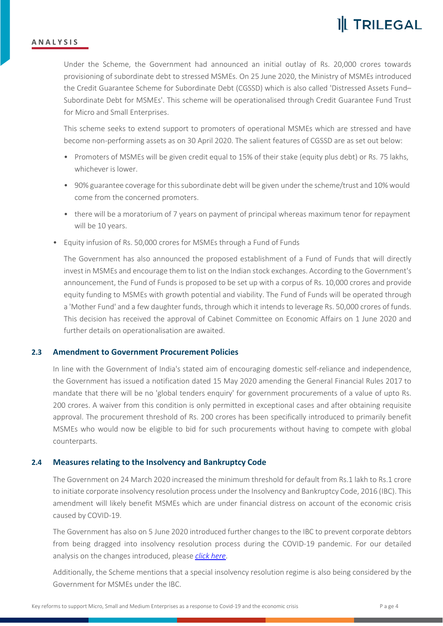

#### **A N A L Y S I S**

Under the Scheme, the Government had announced an initial outlay of Rs. 20,000 crores towards provisioning of subordinate debt to stressed MSMEs. On 25 June 2020, the Ministry of MSMEs introduced the Credit Guarantee Scheme for Subordinate Debt (CGSSD) which is also called 'Distressed Assets Fund– Subordinate Debt for MSMEs'. This scheme will be operationalised through Credit Guarantee Fund Trust for Micro and Small Enterprises.

This scheme seeks to extend support to promoters of operational MSMEs which are stressed and have become non-performing assets as on 30 April 2020. The salient features of CGSSD are as set out below:

- Promoters of MSMEs will be given credit equal to 15% of their stake (equity plus debt) or Rs. 75 lakhs, whichever is lower.<br>• 90% guarantee coverage for this subordinate debt will be given under the scheme/trust and 10% would
- come from the concerned promoters.
- there will be a moratorium of 7 years on payment of principal whereas maximum tenor for repayment will be 10 years.
- Equity infusion of Rs. 50,000 crores for MSMEs through a Fund of Funds

The Government has also announced the proposed establishment of a Fund of Funds that will directly invest in MSMEs and encourage them to list on the Indian stock exchanges. According to the Government's announcement, the Fund of Funds is proposed to be set up with a corpus of Rs. 10,000 crores and provide equity funding to MSMEs with growth potential and viability. The Fund of Funds will be operated through a 'Mother Fund' and a few daughter funds, through which it intends to leverage Rs. 50,000 crores of funds. This decision has received the approval of Cabinet Committee on Economic Affairs on 1 June 2020 and further details on operationalisation are awaited.

#### **2.3 Amendment to Government Procurement Policies**

In line with the Government of India's stated aim of encouraging domestic self-reliance and independence, the Government has issued a notification dated 15 May 2020 amending the General Financial Rules 2017 to mandate that there will be no 'global tenders enquiry' for government procurements of a value of upto Rs. 200 crores. A waiver from this condition is only permitted in exceptional cases and after obtaining requisite approval. The procurement threshold of Rs. 200 crores has been specifically introduced to primarily benefit MSMEs who would now be eligible to bid for such procurements without having to compete with global counterparts.

#### **2.4 Measures relating to the Insolvency and Bankruptcy Code**

The Government on 24 March 2020 increased the minimum threshold for default from Rs.1 lakh to Rs.1 crore to initiate corporate insolvency resolution process under the Insolvency and Bankruptcy Code, 2016 (IBC). This amendment will likely benefit MSMEs which are under financial distress on account of the economic crisis caused by COVID-19.

The Government has also on 5 June 2020 introduced further changes to the IBC to prevent corporate debtors from being dragged into insolvency resolution process during the COVID-19 pandemic. For our detailed analysis on the changes introduced, please *click [here](https://trilegal.com/knowledge_repository/covid-19-insolvency-and-bankruptcy-code-amended-to-suspend-initiation-of-insolvency-proceedings-for-six-months/)*.

Additionally, the Scheme mentions that a special insolvency resolution regime is also being considered by the Government for MSMEs under the IBC.